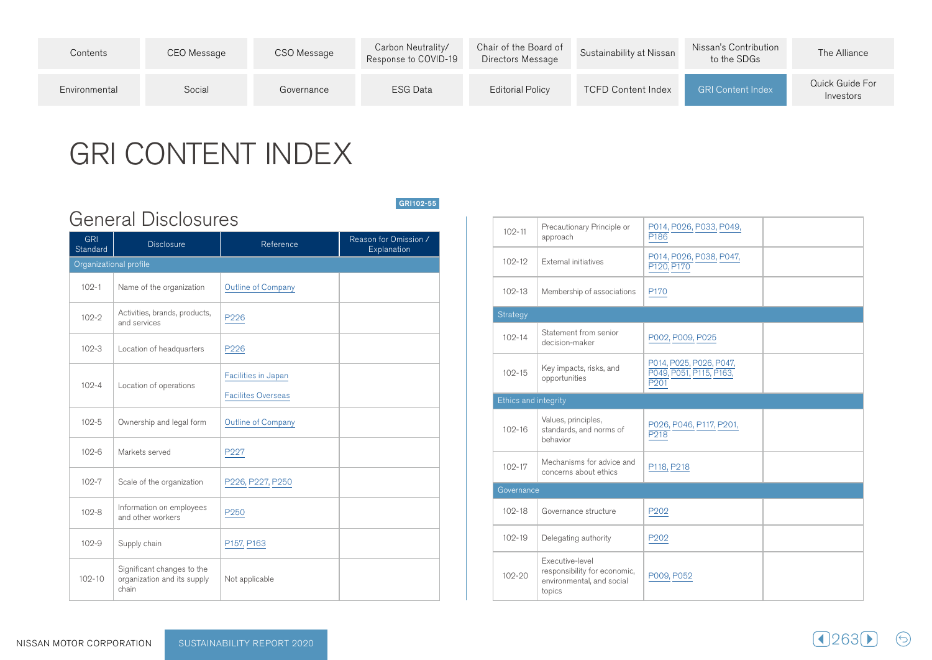| Contents      | CEO Message | CSO Message | Carbon Neutrality/<br>Response to COVID-19 | Chair of the Board of<br>Directors Message | Sustainability at Nissan | Nissan's Contribution<br>to the SDGs | The Alliance                 |
|---------------|-------------|-------------|--------------------------------------------|--------------------------------------------|--------------------------|--------------------------------------|------------------------------|
| Environmental | Social      | Governance  | ESG Data                                   | <b>Editorial Policy</b>                    | TCFD Content Index       | <b>GRI Content Index</b>             | Quick Guide For<br>Investors |

GRI102-55

## GRI CONTENT INDEX

General Disclosures

| <b>GRI</b><br>Standard | <b>Disclosure</b>                                                  | Reference                                        | Reason for Omission /<br>Explanation |
|------------------------|--------------------------------------------------------------------|--------------------------------------------------|--------------------------------------|
| Organizational profile |                                                                    |                                                  |                                      |
| $102 - 1$              | Name of the organization                                           | <b>Outline of Company</b>                        |                                      |
| $102 - 2$              | Activities, brands, products,<br>and services                      | P226                                             |                                      |
| $102 - 3$              | Location of headquarters                                           | P226                                             |                                      |
| $102 - 4$              | Location of operations                                             | Facilities in Japan<br><b>Facilites Overseas</b> |                                      |
| $102 - 5$              | Ownership and legal form                                           | Outline of Company                               |                                      |
| $102 - 6$              | Markets served                                                     | P227                                             |                                      |
| $102 - 7$              | Scale of the organization                                          | P226, P227, P250                                 |                                      |
| $102 - 8$              | Information on employees<br>and other workers                      | P <sub>250</sub>                                 |                                      |
| $102 - 9$              | Supply chain                                                       | P157, P163                                       |                                      |
| $102 - 10$             | Significant changes to the<br>organization and its supply<br>chain | Not applicable                                   |                                      |

Precautionary Principle or 102-11 approach P014, P026, P033, P049, P<sub>186</sub> P014, P026, P038, P047, 102-12  $\parallel$  External initiatives P120, P170 102-13 Membership of associations  $\vert$  P170 **Strategy** Statement from senior 102-14 P002, P009, P025 decision-maker Key impacts, risks, and 102-15 opportunities P014, P025, P026, P047, P049, P051, P115, P163, P<sub>201</sub> Ethics and integrity 102-16 Values, principles, standards, and norms of behavior P026, P046, P117, P201,  $P<sub>218</sub>$ Mechanisms for advice and 102-17 P118, P218 concerns about ethics 102-18 Governance structure | P202 102-19 Delegating authority  $P202$ 102-20 Executive-level responsibility for economic, environmental, and social topics P009, P052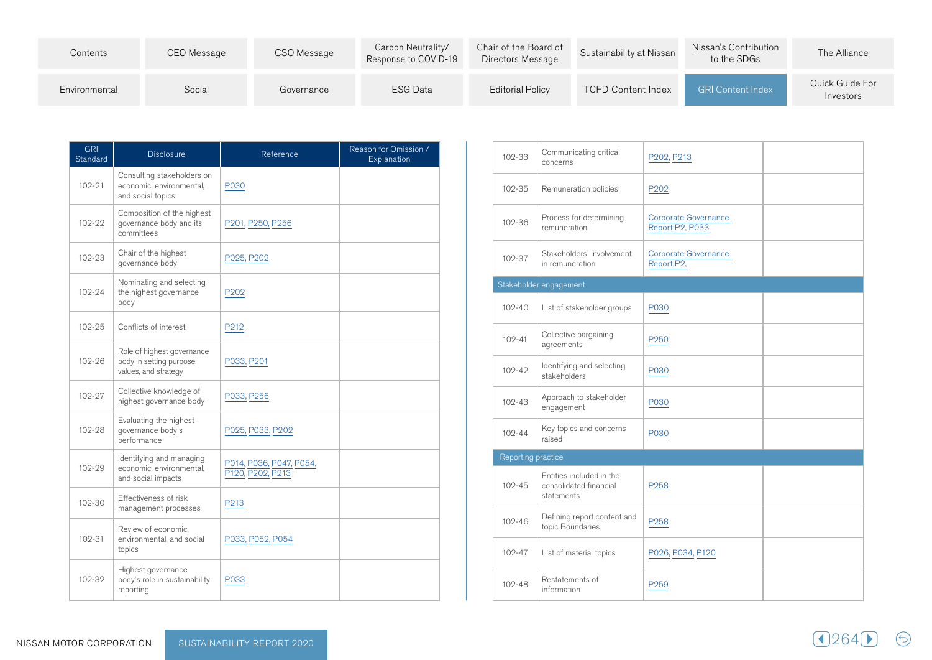| Contents      | CEO Message | CSO Message | Carbon Neutrality/<br>Response to COVID-19 | Chair of the Board of<br>Directors Message | Sustainability at Nissan  | Nissan's Contribution<br>to the SDGs | The Alliance                 |
|---------------|-------------|-------------|--------------------------------------------|--------------------------------------------|---------------------------|--------------------------------------|------------------------------|
| Environmental | Social      | Governance  | <b>ESG Data</b>                            | <b>Editorial Policy</b>                    | <b>TCFD Content Index</b> | <b>GRI Content Index</b>             | Quick Guide For<br>Investors |

| <b>GRI</b><br>Standard | <b>Disclosure</b>                                                              | Reference                                   | Reason for Omission /<br>Explanation |
|------------------------|--------------------------------------------------------------------------------|---------------------------------------------|--------------------------------------|
| $102 - 21$             | Consulting stakeholders on<br>economic, environmental,<br>and social topics    | P030                                        |                                      |
| 102-22                 | Composition of the highest<br>governance body and its<br>committees            | P201, P250, P256                            |                                      |
| 102-23                 | Chair of the highest<br>governance body                                        | P025, P202                                  |                                      |
| 102-24                 | Nominating and selecting<br>the highest governance<br>body                     | P <sub>202</sub>                            |                                      |
| 102-25                 | Conflicts of interest                                                          | P212                                        |                                      |
| 102-26                 | Role of highest governance<br>body in setting purpose,<br>values, and strategy | P033, P201                                  |                                      |
| 102-27                 | Collective knowledge of<br>highest governance body                             | P033, P256                                  |                                      |
| 102-28                 | Evaluating the highest<br>governance body's<br>performance                     | P025, P033, P202                            |                                      |
| 102-29                 | Identifying and managing<br>economic, environmental,<br>and social impacts     | P014, P036, P047, P054,<br>P120, P202, P213 |                                      |
| 102-30                 | Effectiveness of risk<br>management processes                                  | P213                                        |                                      |
| 102-31                 | Review of economic,<br>environmental, and social<br>topics                     | P033, P052, P054                            |                                      |
| 102-32                 | Highest governance<br>body's role in sustainability<br>reporting               | P033                                        |                                      |

| 102-33             | Communicating critical<br>concerns                               | P202, P213                              |  |
|--------------------|------------------------------------------------------------------|-----------------------------------------|--|
| 102-35             | Remuneration policies                                            | P <sub>202</sub>                        |  |
| 102-36             | Process for determining<br>remuneration                          | Corporate Governance<br>Report:P2, P033 |  |
| 102-37             | Stakeholders' involvement<br>in remuneration                     | Corporate Governance<br>Report:P2,      |  |
|                    | Stakeholder engagement                                           |                                         |  |
| 102-40             | List of stakeholder groups                                       | P030                                    |  |
| $102 - 41$         | Collective bargaining<br>agreements                              | P <sub>250</sub>                        |  |
| $102 - 42$         | Identifying and selecting<br>stakeholders                        | P030                                    |  |
| $102 - 43$         | Approach to stakeholder<br>engagement                            | P030                                    |  |
| $102 - 44$         | Key topics and concerns<br>raised                                | P030                                    |  |
| Reporting practice |                                                                  |                                         |  |
| $102 - 45$         | Entities included in the<br>consolidated financial<br>statements | P <sub>258</sub>                        |  |
| $102 - 46$         | Defining report content and<br>topic Boundaries                  | P258                                    |  |
| $102 - 47$         | List of material topics                                          | P026, P034, P120                        |  |
| $102 - 48$         | Restatements of<br>information                                   | P <sub>259</sub>                        |  |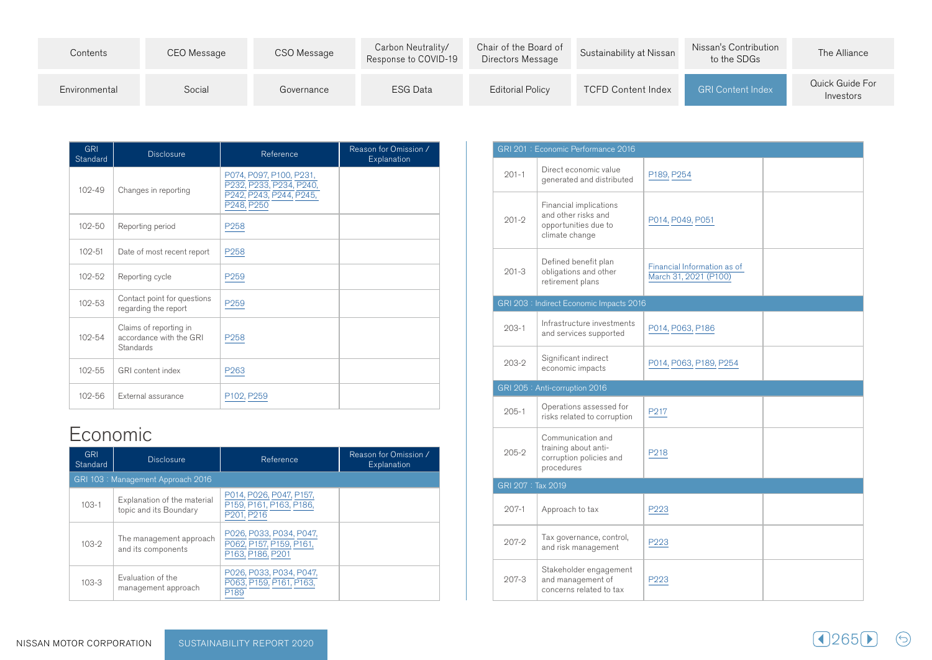| Contents      | CEO Message | CSO Message | Carbon Neutrality/<br>Response to COVID-19 | Chair of the Board of<br>Directors Message | Sustainability at Nissan  | Nissan's Contribution<br>to the SDGs | The Alliance                 |
|---------------|-------------|-------------|--------------------------------------------|--------------------------------------------|---------------------------|--------------------------------------|------------------------------|
| Environmental | Social      | Governance  | <b>ESG Data</b>                            | <b>Editorial Policy</b>                    | <b>TCFD Content Index</b> | <b>GRI Content Index</b>             | Quick Guide For<br>Investors |

| <b>GRI</b><br>Standard | <b>Disclosure</b>                                              | Reference                                                                                   | Reason for Omission /<br>Explanation |
|------------------------|----------------------------------------------------------------|---------------------------------------------------------------------------------------------|--------------------------------------|
| $102 - 49$             | Changes in reporting                                           | P074, P097, P100, P231,<br>P232, P233, P234, P240,<br>P242, P243, P244, P245,<br>P248, P250 |                                      |
| $102 - 50$             | Reporting period                                               | P <sub>258</sub>                                                                            |                                      |
| $102 - 51$             | Date of most recent report                                     | P <sub>258</sub>                                                                            |                                      |
| 102-52                 | Reporting cycle                                                | P <sub>259</sub>                                                                            |                                      |
| $102 - 53$             | Contact point for questions<br>regarding the report            | P <sub>259</sub>                                                                            |                                      |
| 102-54                 | Claims of reporting in<br>accordance with the GRI<br>Standards | P <sub>258</sub>                                                                            |                                      |
| $102 - 55$             | GRI content index                                              | P <sub>263</sub>                                                                            |                                      |
| 102-56                 | External assurance                                             | P102, P259                                                                                  |                                      |

## Economic

| <b>GRI</b><br>Standard | <b>Disclosure</b>                                     | Reference                                                              | Reason for Omission /<br>Explanation |
|------------------------|-------------------------------------------------------|------------------------------------------------------------------------|--------------------------------------|
|                        | GRI 103: Management Approach 2016                     |                                                                        |                                      |
| $103 - 1$              | Explanation of the material<br>topic and its Boundary | P014, P026, P047, P157,<br>P159, P161, P163, P186,<br>P201, P216       |                                      |
| $103-2$                | The management approach<br>and its components         | P026, P033, P034, P047,<br>P062, P157, P159, P161,<br>P163, P186, P201 |                                      |
| $103 - 3$              | Evaluation of the<br>management approach              | P026, P033, P034, P047,<br>P063, P159, P161, P163,<br>P <sub>189</sub> |                                      |

|                   | GRI 201: Economic Performance 2016                                                      |                                                      |  |
|-------------------|-----------------------------------------------------------------------------------------|------------------------------------------------------|--|
| $201 - 1$         | Direct economic value<br>generated and distributed                                      | P189, P254                                           |  |
| $201 - 2$         | Financial implications<br>and other risks and<br>opportunities due to<br>climate change | P014, P049, P051                                     |  |
| $201 - 3$         | Defined benefit plan<br>obligations and other<br>retirement plans                       | Financial Information as of<br>March 31, 2021 (P100) |  |
|                   | GRI 203 : Indirect Economic Impacts 2016                                                |                                                      |  |
| $203 - 1$         | Infrastructure investments<br>and services supported                                    | P014, P063, P186                                     |  |
| $203-2$           | Significant indirect<br>economic impacts                                                | P014, P063, P189, P254                               |  |
|                   | GRI 205 : Anti-corruption 2016                                                          |                                                      |  |
| $205 - 1$         | Operations assessed for<br>risks related to corruption                                  | P217                                                 |  |
| $205 - 2$         | Communication and<br>training about anti-<br>corruption policies and<br>procedures      | P218                                                 |  |
| GRI 207: Tax 2019 |                                                                                         |                                                      |  |
| $207-1$           | Approach to tax                                                                         | P223                                                 |  |
| $207-2$           | Tax governance, control,<br>and risk management                                         | P223                                                 |  |
| 207-3             | Stakeholder engagement<br>and management of<br>concerns related to tax                  | P223                                                 |  |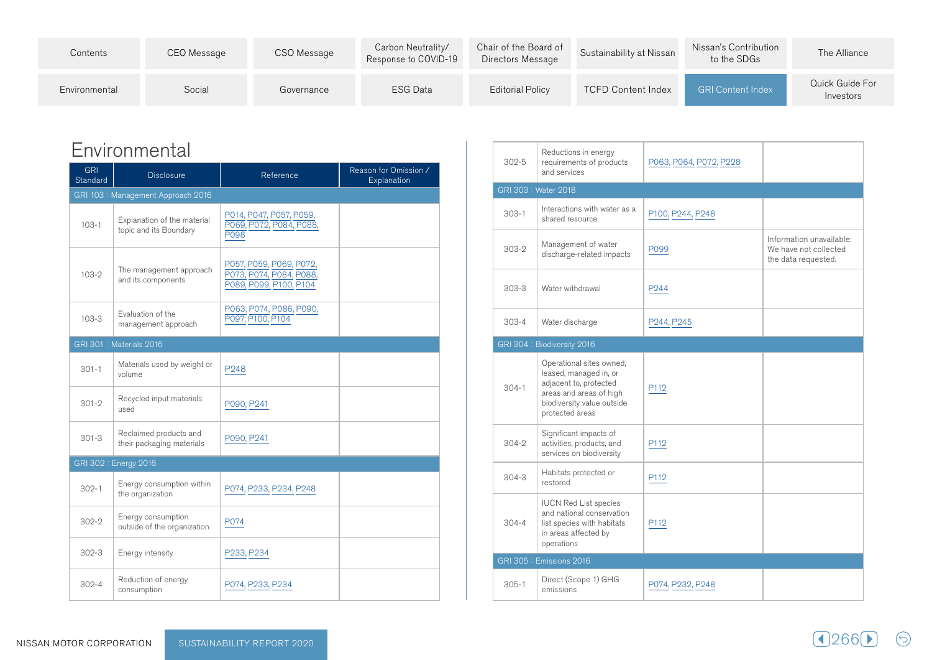| Contents      | CEO Message | CSO Message | Carbon Neutrality/<br>Response to COVID-19 | Chair of the Board of<br>Directors Message | Sustainability at Nissan  | Nissan's Contribution<br>to the SDGs | The Alliance                 |
|---------------|-------------|-------------|--------------------------------------------|--------------------------------------------|---------------------------|--------------------------------------|------------------------------|
| Environmental | Social      | Governance  | <b>ESG Data</b>                            | Editorial Policy                           | <b>TCFD Content Index</b> | <b>GRI Content Index</b>             | Quick Guide For<br>Investors |

## Environmental

| <b>GRI</b><br>Standard | <b>Disclosure</b>                                     | Reference                                                                    | Reason for Omission /<br>Explanation |
|------------------------|-------------------------------------------------------|------------------------------------------------------------------------------|--------------------------------------|
|                        | GRI 103: Management Approach 2016                     |                                                                              |                                      |
| $103 - 1$              | Explanation of the material<br>topic and its Boundary | P014, P047, P057, P059,<br>P069, P072, P084, P088,<br>P098                   |                                      |
| $103-2$                | The management approach<br>and its components         | P057, P059, P069, P072,<br>P073, P074, P084, P088,<br>P089, P099, P100, P104 |                                      |
| $103 - 3$              | Evaluation of the<br>management approach              | P063, P074, P086, P090,<br>P097, P100, P104                                  |                                      |
|                        | GRI 301: Materials 2016                               |                                                                              |                                      |
| $301 - 1$              | Materials used by weight or<br>volume                 | P248                                                                         |                                      |
| $301 - 2$              | Recycled input materials<br>used                      | P090, P241                                                                   |                                      |
| $301 - 3$              | Reclaimed products and<br>their packaging materials   | P090, P241                                                                   |                                      |
|                        | GRI 302: Energy 2016                                  |                                                                              |                                      |
| $302 - 1$              | Energy consumption within<br>the organization         | P074, P233, P234, P248                                                       |                                      |
| $302 - 2$              | Energy consumption<br>outside of the organization     | P074                                                                         |                                      |
| $302 - 3$              | Energy intensity                                      | P233, P234                                                                   |                                      |
| $302 - 4$              | Reduction of energy<br>consumption                    | P074, P233, P234                                                             |                                      |

| $302 - 5$ | Reductions in energy<br>requirements of products<br>and services                                                                                         | P063, P064, P072, P228 |                                                                          |
|-----------|----------------------------------------------------------------------------------------------------------------------------------------------------------|------------------------|--------------------------------------------------------------------------|
|           | GRI 303: Water 2018                                                                                                                                      |                        |                                                                          |
| $303 - 1$ | Interactions with water as a<br>shared resource                                                                                                          | P100, P244, P248       |                                                                          |
| $303-2$   | Management of water<br>discharge-related impacts                                                                                                         | P099                   | Information unavailable:<br>We have not collected<br>the data requested. |
| $303 - 3$ | Water withdrawal                                                                                                                                         | P <sub>244</sub>       |                                                                          |
| $303 - 4$ | Water discharge                                                                                                                                          | P244, P245             |                                                                          |
|           | GRI 304: Biodiversity 2016                                                                                                                               |                        |                                                                          |
| $304 - 1$ | Operational sites owned,<br>leased, managed in, or<br>adjacent to, protected<br>areas and areas of high<br>biodiversity value outside<br>protected areas | P112                   |                                                                          |
| $304 - 2$ | Significant impacts of<br>activities, products, and<br>services on biodiversity                                                                          | P112                   |                                                                          |
| $304 - 3$ | Habitats protected or<br>restored                                                                                                                        | P112                   |                                                                          |
| $304 - 4$ | <b>IUCN Red List species</b><br>and national conservation<br>list species with habitats<br>in areas affected by<br>operations                            | P112                   |                                                                          |
|           | GRI 305 : Emissions 2016                                                                                                                                 |                        |                                                                          |
| $305 - 1$ | Direct (Scope 1) GHG<br>emissions                                                                                                                        | P074, P232, P248       |                                                                          |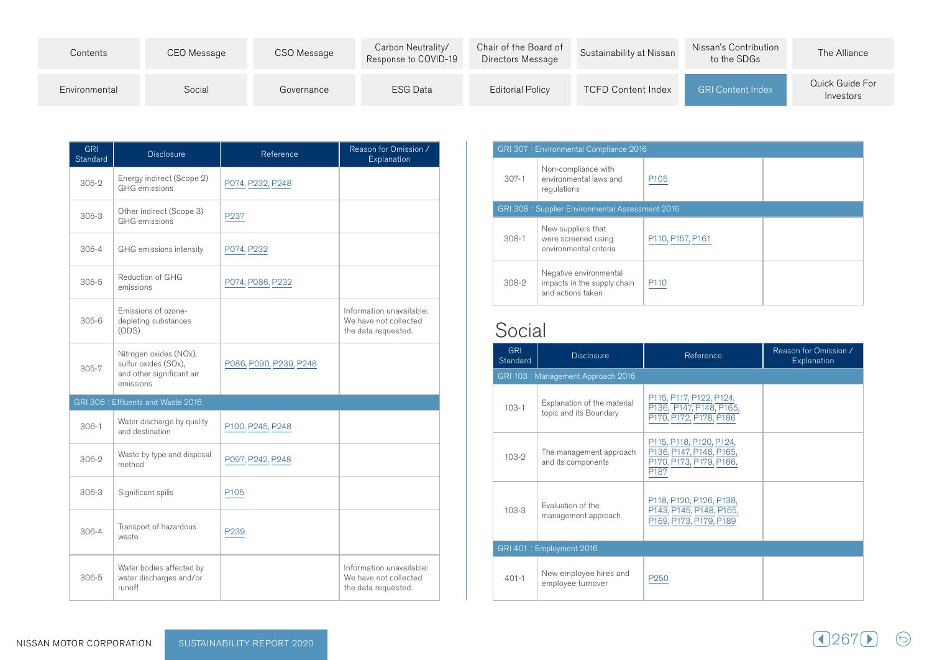| Contents      | CEO Message | CSO Message | Carbon Neutrality/<br>Response to COVID-19 | Chair of the Board of<br>Directors Message | Sustainability at Nissan  | Nissan's Contribution<br>to the SDGs | The Alliance                 |
|---------------|-------------|-------------|--------------------------------------------|--------------------------------------------|---------------------------|--------------------------------------|------------------------------|
| Environmental | Social      | Governance  | <b>ESG Data</b>                            | <b>Editorial Policy</b>                    | <b>TCFD Content Index</b> | <b>GRI Content Index</b>             | Quick Guide For<br>Investors |

| <b>GRI</b><br>Standard | <b>Disclosure</b>                                                                        | Reference              | Reason for Omission /<br>Explanation                                     |
|------------------------|------------------------------------------------------------------------------------------|------------------------|--------------------------------------------------------------------------|
| $305-2$                | Energy indirect (Scope 2)<br><b>GHG</b> emissions                                        | P074, P232, P248       |                                                                          |
| $305 - 3$              | Other indirect (Scope 3)<br><b>GHG</b> emissions                                         | P237                   |                                                                          |
| $305 - 4$              | GHG emissions intensity                                                                  | P074, P232             |                                                                          |
| $305 - 5$              | Reduction of GHG<br>emissions                                                            | P074, P086, P232       |                                                                          |
| $305 - 6$              | Emissions of ozone-<br>depleting substances<br>(ODS)                                     |                        | Information unavailable:<br>We have not collected<br>the data requested. |
| $305 - 7$              | Nitrogen oxides (NOx),<br>sulfur oxides (SOx),<br>and other significant air<br>emissions | P086, P090, P239, P248 |                                                                          |
|                        | GRI 306 : Effluents and Waste 2016                                                       |                        |                                                                          |
| $306-1$                | Water discharge by quality<br>and destination                                            | P100, P245, P248       |                                                                          |
| $306-2$                | Waste by type and disposal<br>method                                                     | P097, P242, P248       |                                                                          |
| $306-3$                | Significant spills                                                                       | P <sub>105</sub>       |                                                                          |
| $306 - 4$              | Transport of hazardous<br>waste                                                          | P <sub>239</sub>       |                                                                          |
| 306-5                  | Water bodies affected by<br>water discharges and/or<br>runoff                            |                        | Information unavailable:<br>We have not collected<br>the data requested. |

|           | GRI 307: Environmental Compliance 2016                                     |                  |  |  |  |  |  |
|-----------|----------------------------------------------------------------------------|------------------|--|--|--|--|--|
| $307 - 1$ | Non-compliance with<br>environmental laws and<br>regulations               | P <sub>105</sub> |  |  |  |  |  |
|           | GRI 308: Supplier Environmental Assessment 2016                            |                  |  |  |  |  |  |
| $308-1$   | New suppliers that<br>were screened using<br>environmental criteria        | P110, P157, P161 |  |  |  |  |  |
| 308-2     | Negative environmental<br>impacts in the supply chain<br>and actions taken | P <sub>110</sub> |  |  |  |  |  |

## Social

| <b>GRI</b><br>Standard   | <b>Disclosure</b>                                     | Reference                                                                                         | Reason for Omission /<br>Explanation |  |  |
|--------------------------|-------------------------------------------------------|---------------------------------------------------------------------------------------------------|--------------------------------------|--|--|
|                          | GRI 103: Management Approach 2016                     |                                                                                                   |                                      |  |  |
| $103 - 1$                | Explanation of the material<br>topic and its Boundary | P115, P117, P122, P124,<br>P136, P147, P148, P165,<br>P170, P172, P178, P186                      |                                      |  |  |
| $103-2$                  | The management approach<br>and its components         | P115, P118, P120, P124,<br>P136, P147, P148, P165,<br>P170, P173, P179, P186,<br>P <sub>187</sub> |                                      |  |  |
| $103 - 3$                | Evaluation of the<br>management approach              | P118, P120, P126, P138,<br>P143, P145, P148, P165,<br>P169, P173, P179, P189                      |                                      |  |  |
| GRI 401: Employment 2016 |                                                       |                                                                                                   |                                      |  |  |
| $401 - 1$                | New employee hires and<br>employee turnover           | P <sub>250</sub>                                                                                  |                                      |  |  |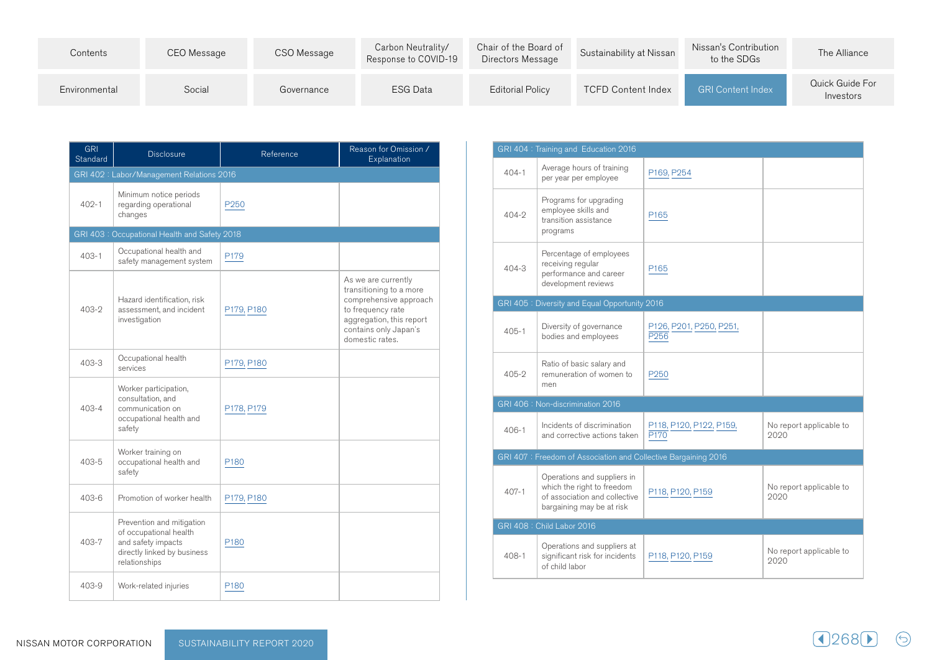| Contents      | CEO Message | CSO Message | Carbon Neutrality/<br>Response to COVID-19 | Chair of the Board of<br>Directors Message | Sustainability at Nissan  | Nissan's Contribution<br>to the SDGs | The Alliance                 |
|---------------|-------------|-------------|--------------------------------------------|--------------------------------------------|---------------------------|--------------------------------------|------------------------------|
| Environmental | Social      | Governance  | <b>ESG Data</b>                            | <b>Editorial Policy</b>                    | <b>TCFD Content Index</b> | <b>GRI Content Index</b>             | Quick Guide For<br>Investors |

| <b>GRI</b><br>Standard | <b>Disclosure</b>                                                                                                         | Reference        | Reason for Omission /<br>Explanation                                                                                                                                  |  |  |  |  |  |
|------------------------|---------------------------------------------------------------------------------------------------------------------------|------------------|-----------------------------------------------------------------------------------------------------------------------------------------------------------------------|--|--|--|--|--|
|                        | GRI 402: Labor/Management Relations 2016                                                                                  |                  |                                                                                                                                                                       |  |  |  |  |  |
| $402 - 1$              | Minimum notice periods<br>regarding operational<br>changes                                                                | P <sub>250</sub> |                                                                                                                                                                       |  |  |  |  |  |
|                        | GRI 403: Occupational Health and Safety 2018                                                                              |                  |                                                                                                                                                                       |  |  |  |  |  |
| $403 - 1$              | Occupational health and<br>safety management system                                                                       | P179             |                                                                                                                                                                       |  |  |  |  |  |
| $403 - 2$              | Hazard identification, risk<br>assessment, and incident<br>investigation                                                  | P179, P180       | As we are currently<br>transitioning to a more<br>comprehensive approach<br>to frequency rate<br>aggregation, this report<br>contains only Japan's<br>domestic rates. |  |  |  |  |  |
| $403 - 3$              | Occupational health<br>services                                                                                           | P179, P180       |                                                                                                                                                                       |  |  |  |  |  |
| $403 - 4$              | Worker participation,<br>consultation, and<br>communication on<br>occupational health and<br>safety                       | P178, P179       |                                                                                                                                                                       |  |  |  |  |  |
| 403-5                  | Worker training on<br>occupational health and<br>safety                                                                   | P <sub>180</sub> |                                                                                                                                                                       |  |  |  |  |  |
| $403 - 6$              | Promotion of worker health                                                                                                | P179, P180       |                                                                                                                                                                       |  |  |  |  |  |
| 403-7                  | Prevention and mitigation<br>of occupational health<br>and safety impacts<br>directly linked by business<br>relationships | P <sub>180</sub> |                                                                                                                                                                       |  |  |  |  |  |
| 403-9                  | Work-related injuries                                                                                                     | P <sub>180</sub> |                                                                                                                                                                       |  |  |  |  |  |

|           | GRI 404 : Training and Education 2016                                                                                   |                                 |                                 |
|-----------|-------------------------------------------------------------------------------------------------------------------------|---------------------------------|---------------------------------|
| $404 - 1$ | Average hours of training<br>per year per employee                                                                      | P169, P254                      |                                 |
| $404 - 2$ | Programs for upgrading<br>employee skills and<br>transition assistance<br>programs                                      | P <sub>165</sub>                |                                 |
| 404-3     | Percentage of employees<br>receiving regular<br>performance and career<br>development reviews                           | P <sub>165</sub>                |                                 |
|           | GRI 405: Diversity and Equal Opportunity 2016                                                                           |                                 |                                 |
| $405 - 1$ | Diversity of governance<br>bodies and employees                                                                         | P126, P201, P250, P251,<br>P256 |                                 |
| $405 - 2$ | Ratio of basic salary and<br>remuneration of women to<br>men                                                            | P <sub>250</sub>                |                                 |
|           | GRI 406 : Non-discrimination 2016                                                                                       |                                 |                                 |
| $406 - 1$ | Incidents of discrimination<br>and corrective actions taken                                                             | P118, P120, P122, P159,<br>P170 | No report applicable to<br>2020 |
|           | GRI 407: Freedom of Association and Collective Bargaining 2016                                                          |                                 |                                 |
| $407 - 1$ | Operations and suppliers in<br>which the right to freedom<br>of association and collective<br>bargaining may be at risk | P118, P120, P159                | No report applicable to<br>2020 |
|           | GRI 408 : Child Labor 2016                                                                                              |                                 |                                 |
| $408 - 1$ | Operations and suppliers at<br>significant risk for incidents<br>of child labor                                         | P118, P120, P159                | No report applicable to<br>2020 |

 $\bigodot$